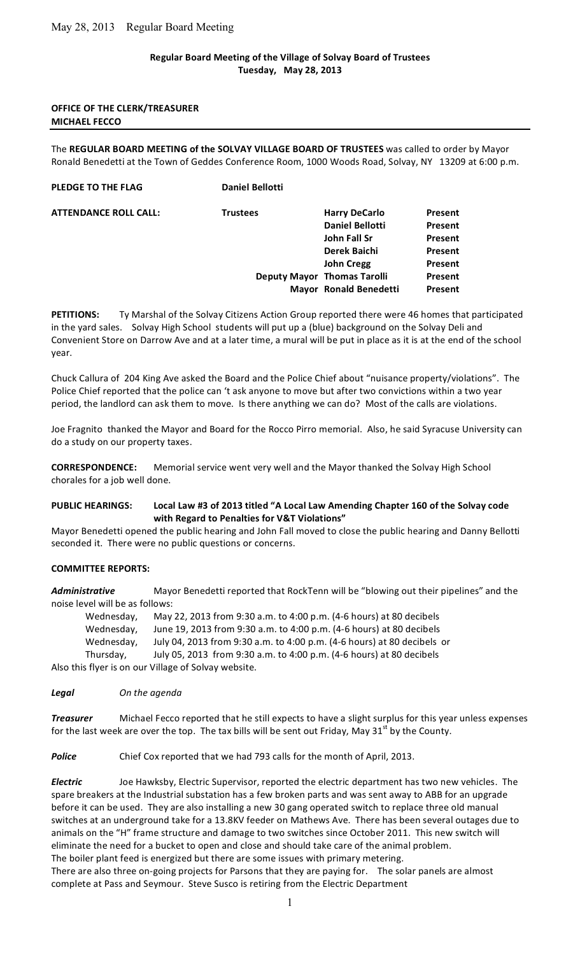### **Regular
Board
Meeting
of
the
Village
of
Solvay
Board
of
Trustees Tuesday, May
28,
2013**

#### **OFFICE
OF
THE
CLERK/TREASURER MICHAEL
FECCO**

The REGULAR BOARD MEETING of the SOLVAY VILLAGE BOARD OF TRUSTEES was called to order by Mayor Ronald Benedetti at the Town of Geddes Conference Room, 1000 Woods Road, Solvay, NY 13209 at 6:00 p.m.

#### **PLEDGE TO THE FLAG** Daniel Bellotti

**ATTENDANCE ROLL CALL:** 

| <b>Trustees</b> | <b>Harry DeCarlo</b>        | Present        |
|-----------------|-----------------------------|----------------|
|                 | <b>Daniel Bellotti</b>      | Present        |
|                 | John Fall Sr                | <b>Present</b> |
|                 | Derek Baichi                | Present        |
|                 | <b>John Cregg</b>           | Present        |
|                 | Deputy Mayor Thomas Tarolli | Present        |
|                 | Mayor Ronald Benedetti      | Present        |

PETITIONS: Ty Marshal of the Solvay Citizens Action Group reported there were 46 homes that participated in the yard sales. Solvay High School students will put up a (blue) background on the Solvay Deli and Convenient Store on Darrow Ave and at a later time, a mural will be put in place as it is at the end of the school year.

Chuck Callura of 204 King Ave asked the Board and the Police Chief about "nuisance property/violations". The Police Chief reported that the police can 't ask anyone to move but after two convictions within a two year period, the landlord can ask them to move. Is there anything we can do? Most of the calls are violations.

Joe Fragnito thanked the Mayor and Board for the Rocco Pirro memorial. Also, he said Syracuse University can do
a
study
on
our
property
taxes.

CORRESPONDENCE: Memorial service went very well and the Mayor thanked the Solvay High School chorales
for
a job well
done.

### PUBLIC HEARINGS: Local Law #3 of 2013 titled "A Local Law Amending Chapter 160 of the Solvay code **with
Regard
to
Penalties
for
V&T
Violations"**

Mayor Benedetti opened the public hearing and John Fall moved to close the public hearing and Danny Bellotti seconded
it.

There
were
no
public
questions
or
concerns.

#### **COMMITTEE
REPORTS:**

Administrative Mayor Benedetti reported that RockTenn will be "blowing out their pipelines" and the noise
level
will
be
as
follows:

Wednesday, May 22, 2013 from 9:30 a.m. to 4:00 p.m. (4-6 hours) at 80 decibels Wednesday, June
19,
2013
from
9:30
a.m.
to
4:00
p.m.
(4‐6
hours)
at
80
decibels Wednesday, July 04, 2013 from 9:30 a.m. to 4:00 p.m. (4-6 hours) at 80 decibels or Thursday, July
05,
2013

from
9:30
a.m.
to
4:00
p.m.
(4‐6
hours)
at
80
decibels

Also
this
flyer
is
on
our
Village
of
Solvay
website.

*Legal On
the
agenda*

**Treasurer** Michael Fecco reported that he still expects to have a slight surplus for this year unless expenses for the last week are over the top. The tax bills will be sent out Friday, May  $31<sup>st</sup>$  by the County.

Police Chief Cox reported that we had 793 calls for the month of April, 2013.

**Electric** Joe Hawksby, Electric Supervisor, reported the electric department has two new vehicles. The spare breakers at the Industrial substation has a few broken parts and was sent away to ABB for an upgrade before it can be used. They are also installing a new 30 gang operated switch to replace three old manual switches at an underground take for a 13.8KV feeder on Mathews Ave. There has been several outages due to animals on the "H" frame structure and damage to two switches since October 2011. This new switch will eliminate the need for a bucket to open and close and should take care of the animal problem. The
boiler
plant
feed
is
energized
but
there
are
some
issues
with
primary
metering.

There are also three on-going projects for Parsons that they are paying for. The solar panels are almost complete
at
Pass
and
Seymour.

Steve
Susco
is
retiring
from
the
Electric
Department

1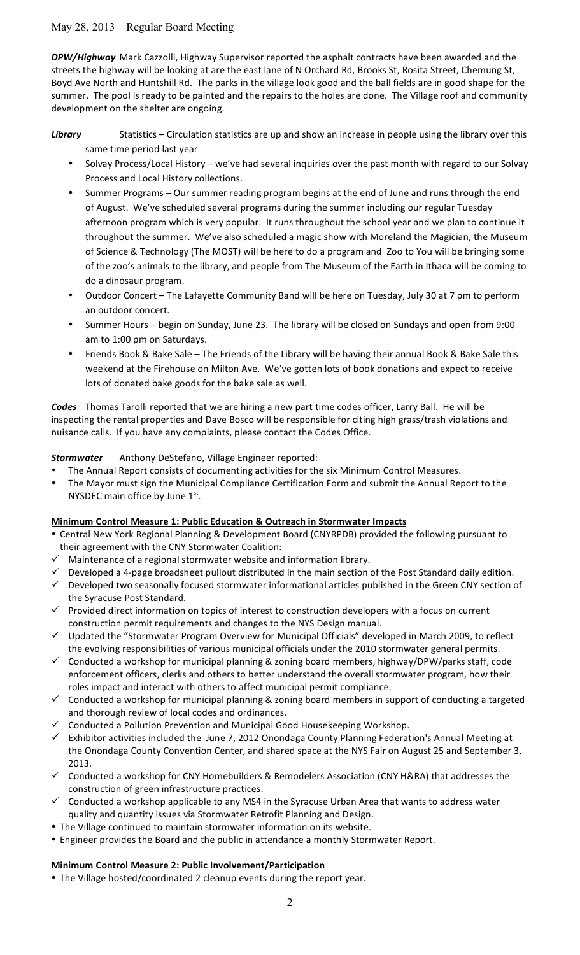DPW/Highway Mark Cazzolli, Highway Supervisor reported the asphalt contracts have been awarded and the streets the highway will be looking at are the east lane of N Orchard Rd, Brooks St, Rosita Street, Chemung St, Boyd Ave North and Huntshill Rd. The parks in the village look good and the ball fields are in good shape for the summer. The pool is ready to be painted and the repairs to the holes are done. The Village roof and community development on the shelter are ongoing.

## Library Statistics - Circulation statistics are up and show an increase in people using the library over this same
time
period
last
year

- Solvay Process/Local History we've had several inquiries over the past month with regard to our Solvay Process
and
Local
History
collections.
- Summer Programs Our summer reading program begins at the end of June and runs through the end of August. We've scheduled several programs during the summer including our regular Tuesday afternoon program which is very popular. It runs throughout the school year and we plan to continue it throughout the summer. We've also scheduled a magic show with Moreland the Magician, the Museum of Science & Technology (The MOST) will be here to do a program and Zoo to You will be bringing some of the zoo's animals to the library, and people from The Museum of the Earth in Ithaca will be coming to do
a
dinosaur
program.
- Outdoor Concert The Lafayette Community Band will be here on Tuesday, July 30 at 7 pm to perform an
outdoor
concert.
- Summer Hours begin on Sunday, June 23. The library will be closed on Sundays and open from 9:00 am
to
1:00
pm
on
Saturdays.
- Friends Book & Bake Sale The Friends of the Library will be having their annual Book & Bake Sale this weekend at the Firehouse on Milton Ave. We've gotten lots of book donations and expect to receive lots
of
donated
bake
goods
for
the
bake
sale
as
well.

Codes Thomas Tarolli reported that we are hiring a new part time codes officer, Larry Ball. He will be inspecting the rental properties and Dave Bosco will be responsible for citing high grass/trash violations and nuisance
calls.

If
you
have
any
complaints,
please
contact
the
Codes
Office.

# Stormwater Anthony DeStefano, Village Engineer reported:

- The Annual Report consists of documenting activities for the six Minimum Control Measures.
- The Mayor must sign the Municipal Compliance Certification Form and submit the Annual Report to the NYSDEC main office by June  $1<sup>st</sup>$ .

# **Minimum Control Measure 1: Public Education & Outreach in Stormwater Impacts**

- Central New York Regional Planning & Development Board (CNYRPDB) provided the following pursuant to their
agreement
with
the
CNY
Stormwater
Coalition:
- Maintenance of a regional stormwater website and information library.
- $\checkmark$  Developed a 4-page broadsheet pullout distributed in the main section of the Post Standard daily edition.
- $\checkmark$  Developed two seasonally focused stormwater informational articles published in the Green CNY section of the
Syracuse
Post
Standard.
- $\checkmark$  Provided direct information on topics of interest to construction developers with a focus on current construction
permit
requirements
and
changes
to
the
NYS
Design
manual.
- ✓ Updated the "Stormwater Program Overview for Municipal Officials" developed in March 2009, to reflect the
evolving
responsibilities
of
various
municipal
officials
under
the
2010
stormwater
general
permits.
- ✓ Conducted a workshop for municipal planning & zoning board members, highway/DPW/parks staff, code enforcement
officers,
clerks
and
others
to
better
understand
the
overall
stormwater
program,
how
their roles
impact
and
interact
with
others
to
affect
municipal
permit
compliance.
- $\checkmark$  Conducted a workshop for municipal planning & zoning board members in support of conducting a targeted and
thorough
review
of
local
codes
and
ordinances.
- Conducted
a
Pollution
Prevention
and
Municipal
Good
Housekeeping
Workshop.
- Exhibitor activities included the June 7, 2012 Onondaga County Planning Federation's Annual Meeting at the Onondaga County Convention Center, and shared space at the NYS Fair on August 25 and September 3, 2013.
- $\checkmark$  Conducted a workshop for CNY Homebuilders & Remodelers Association (CNY H&RA) that addresses the construction
of
green
infrastructure
practices.
- Conducted a workshop applicable to any MS4 in the Syracuse Urban Area that wants to address water quality and quantity issues via Stormwater Retrofit Planning and Design.
- The Village continued to maintain stormwater information on its website.
- Engineer provides the Board and the public in attendance a monthly Stormwater Report.

### **Minimum Control Measure 2: Public Involvement/Participation**

• The Village hosted/coordinated 2 cleanup events during the report year.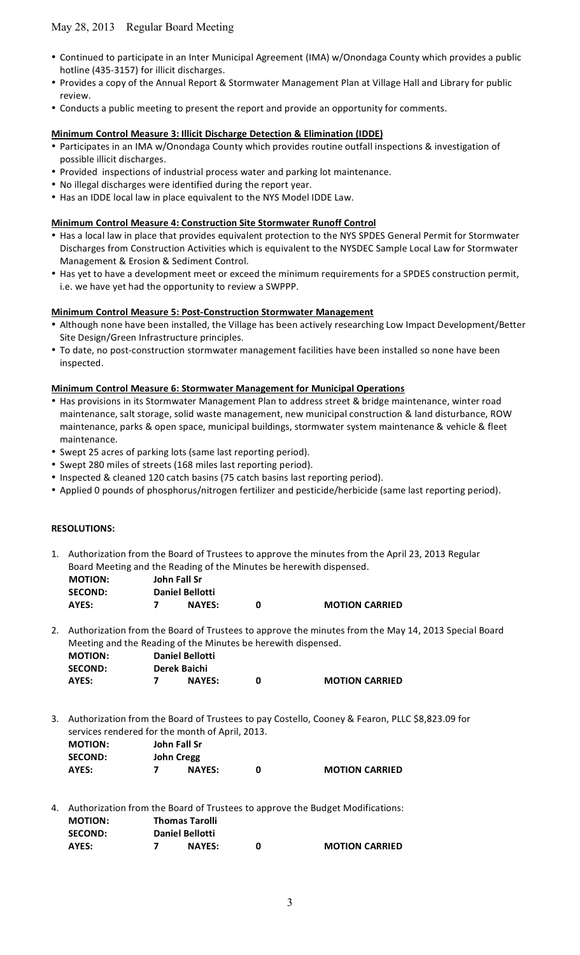- Continued to participate in an Inter Municipal Agreement (IMA) w/Onondaga County which provides a public hotline (435-3157) for illicit discharges.
- Provides a copy of the Annual Report & Stormwater Management Plan at Village Hall and Library for public review.
- Conducts a public meeting to present the report and provide an opportunity for comments.

#### **Minimum Control Measure 3: Illicit Discharge Detection & Elimination (IDDE)**

- Participates in an IMA w/Onondaga County which provides routine outfall inspections & investigation of possible
illicit
discharges.
- Provided inspections of industrial process water and parking lot maintenance.
- No illegal discharges were identified during the report year.
- Has an IDDE local law in place equivalent to the NYS Model IDDE Law.

### **Minimum Control Measure 4: Construction Site Stormwater Runoff Control**

- Has a local law in place that provides equivalent protection to the NYS SPDES General Permit for Stormwater Discharges from Construction Activities which is equivalent to the NYSDEC Sample Local Law for Stormwater Management
&
Erosion
&
Sediment
Control.
- Has yet to have a development meet or exceed the minimum requirements for a SPDES construction permit, i.e. we have yet had the opportunity to review a SWPPP.

#### **Minimum Control Measure 5: Post-Construction Stormwater Management**

- Although none have been installed, the Village has been actively researching Low Impact Development/Better Site
Design/Green
Infrastructure
principles.
- To date, no post-construction stormwater management facilities have been installed so none have been inspected.

#### **Minimum Control Measure 6: Stormwater Management for Municipal Operations**

- Has provisions in its Stormwater Management Plan to address street & bridge maintenance, winter road maintenance, salt storage, solid waste management, new municipal construction & land disturbance, ROW maintenance, parks & open space, municipal buildings, stormwater system maintenance & vehicle & fleet maintenance.
- Swept
25
acres
of
parking
lots
(same
last
reporting
period).
- Swept 280 miles of streets (168 miles last reporting period).
- Inspected & cleaned 120 catch basins (75 catch basins last reporting period).
- Applied 0 pounds of phosphorus/nitrogen fertilizer and pesticide/herbicide (same last reporting period).

#### **RESOLUTIONS:**

1. Authorization from the Board of Trustees to approve the minutes from the April 23, 2013 Regular Board
Meeting
and
the
Reading
of
the
Minutes
be
herewith
dispensed.

| <b>MOTION:</b> | John Fall Sr           |   |  |
|----------------|------------------------|---|--|
| <b>SECOND:</b> | <b>Daniel Bellotti</b> |   |  |
| AYES:          | <b>NAYES:</b>          | O |  |

2. Authorization from the Board of Trustees to approve the minutes from the May 14, 2013 Special Board Meeting
and
the
Reading
of
the
Minutes
be
herewith
dispensed.

**MOTION CARRIED** 

| <b>MOTION:</b> | <b>Daniel Bellotti</b> |                       |
|----------------|------------------------|-----------------------|
| <b>SECOND:</b> | Derek Baichi           |                       |
| AYES:          | <b>NAYES:</b>          | <b>MOTION CARRIED</b> |

3. Authorization
from
the
Board
of
Trustees
to
pay
Costello,
Cooney
&
Fearon,
PLLC
\$8,823.09
for services
rendered
for
the
month
of
April,
2013.

| <b>MOTION:</b> | John Fall Sr  |                       |
|----------------|---------------|-----------------------|
| <b>SECOND:</b> | John Cregg    |                       |
| AYES:          | <b>NAYES:</b> | <b>MOTION CARRIED</b> |

4. Authorization
from
the
Board
of
Trustees
to
approve
the
Budget
Modifications: **MOTION: Thomas
Tarolli SECOND: Daniel
Bellotti**

| AYES: |  | <b>NAYES:</b> |  | <b>MOTION CARRIED</b> |
|-------|--|---------------|--|-----------------------|
|-------|--|---------------|--|-----------------------|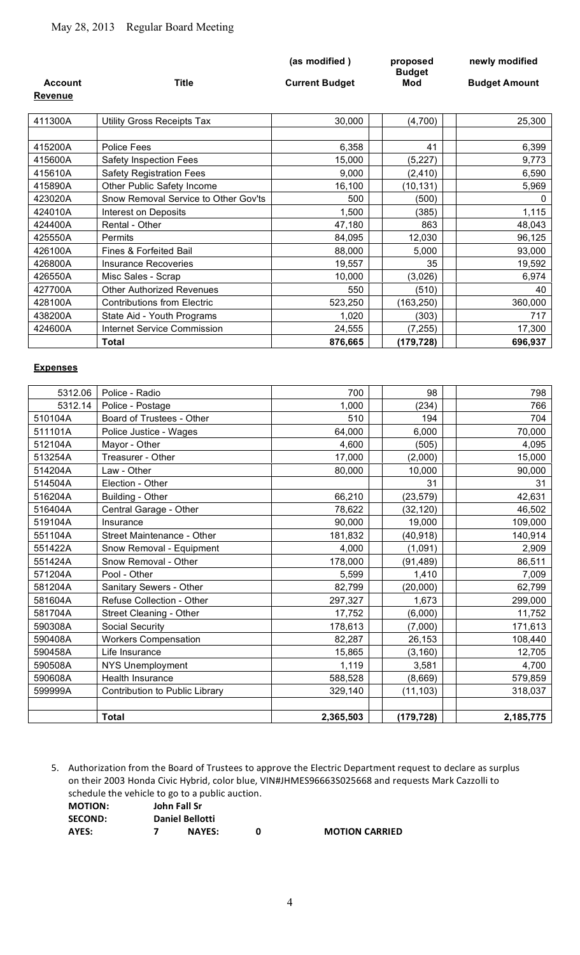|                |                                      | (as modified)         | proposed<br><b>Budget</b> | newly modified       |
|----------------|--------------------------------------|-----------------------|---------------------------|----------------------|
| <b>Account</b> | <b>Title</b>                         | <b>Current Budget</b> | Mod                       | <b>Budget Amount</b> |
| <b>Revenue</b> |                                      |                       |                           |                      |
|                |                                      |                       |                           |                      |
| 411300A        | <b>Utility Gross Receipts Tax</b>    | 30,000                | (4,700)                   | 25,300               |
|                |                                      |                       |                           |                      |
| 415200A        | Police Fees                          | 6,358                 | 41                        | 6,399                |
| 415600A        | Safety Inspection Fees               | 15,000                | (5,227)                   | 9,773                |
| 415610A        | <b>Safety Registration Fees</b>      | 9,000                 | (2, 410)                  | 6,590                |
| 415890A        | Other Public Safety Income           | 16,100                | (10, 131)                 | 5,969                |
| 423020A        | Snow Removal Service to Other Gov'ts | 500                   | (500)                     | $\Omega$             |
| 424010A        | Interest on Deposits                 | 1,500                 | (385)                     | 1,115                |
| 424400A        | Rental - Other                       | 47,180                | 863                       | 48,043               |
| 425550A        | Permits                              | 84,095                | 12,030                    | 96,125               |
| 426100A        | Fines & Forfeited Bail               | 88,000                | 5,000                     | 93,000               |
| 426800A        | <b>Insurance Recoveries</b>          | 19,557                | 35                        | 19,592               |
| 426550A        | Misc Sales - Scrap                   | 10,000                | (3,026)                   | 6,974                |
| 427700A        | <b>Other Authorized Revenues</b>     | 550                   | (510)                     | 40                   |
| 428100A        | <b>Contributions from Electric</b>   | 523,250               | (163, 250)                | 360,000              |
| 438200A        | State Aid - Youth Programs           | 1,020                 | (303)                     | 717                  |
| 424600A        | Internet Service Commission          | 24,555                | (7, 255)                  | 17,300               |
|                | <b>Total</b>                         | 876,665               | (179,728)                 | 696,937              |

#### **Expenses**

| 5312.06 | Police - Radio                 | 700       | 98         | 798       |
|---------|--------------------------------|-----------|------------|-----------|
| 5312.14 | Police - Postage               | 1,000     | (234)      | 766       |
| 510104A | Board of Trustees - Other      | 510       | 194        | 704       |
| 511101A | Police Justice - Wages         | 64,000    | 6,000      | 70,000    |
| 512104A | Mayor - Other                  | 4,600     | (505)      | 4,095     |
| 513254A | Treasurer - Other              | 17,000    | (2,000)    | 15,000    |
| 514204A | Law - Other                    | 80,000    | 10,000     | 90,000    |
| 514504A | Election - Other               |           | 31         | 31        |
| 516204A | Building - Other               | 66,210    | (23, 579)  | 42,631    |
| 516404A | Central Garage - Other         | 78,622    | (32, 120)  | 46,502    |
| 519104A | Insurance                      | 90,000    | 19,000     | 109,000   |
| 551104A | Street Maintenance - Other     | 181,832   | (40, 918)  | 140,914   |
| 551422A | Snow Removal - Equipment       | 4,000     | (1,091)    | 2,909     |
| 551424A | Snow Removal - Other           | 178,000   | (91, 489)  | 86,511    |
| 571204A | Pool - Other                   | 5,599     | 1,410      | 7,009     |
| 581204A | Sanitary Sewers - Other        | 82,799    | (20,000)   | 62,799    |
| 581604A | Refuse Collection - Other      | 297,327   | 1,673      | 299,000   |
| 581704A | Street Cleaning - Other        | 17,752    | (6,000)    | 11,752    |
| 590308A | Social Security                | 178,613   | (7,000)    | 171,613   |
| 590408A | <b>Workers Compensation</b>    | 82,287    | 26,153     | 108,440   |
| 590458A | Life Insurance                 | 15,865    | (3, 160)   | 12,705    |
| 590508A | <b>NYS Unemployment</b>        | 1,119     | 3,581      | 4,700     |
| 590608A | Health Insurance               | 588,528   | (8,669)    | 579,859   |
| 599999A | Contribution to Public Library | 329,140   | (11, 103)  | 318,037   |
|         |                                |           |            |           |
|         | <b>Total</b>                   | 2,365,503 | (179, 728) | 2,185,775 |

5. Authorization
from
the
Board
of
Trustees
to
approve
the
Electric
Department
request
to
declare
as
surplus on their 2003 Honda Civic Hybrid, color blue, VIN#JHMES96663S025668 and requests Mark Cazzolli to schedule
the
vehicle
to
go
to
a
public
auction.

| <b>MOTION:</b> | John Fall Sr |                        |   |
|----------------|--------------|------------------------|---|
| <b>SECOND:</b> |              | <b>Daniel Bellotti</b> |   |
| AYES:          | 7            | <b>NAYES:</b>          | O |

**MOTION CARRIED**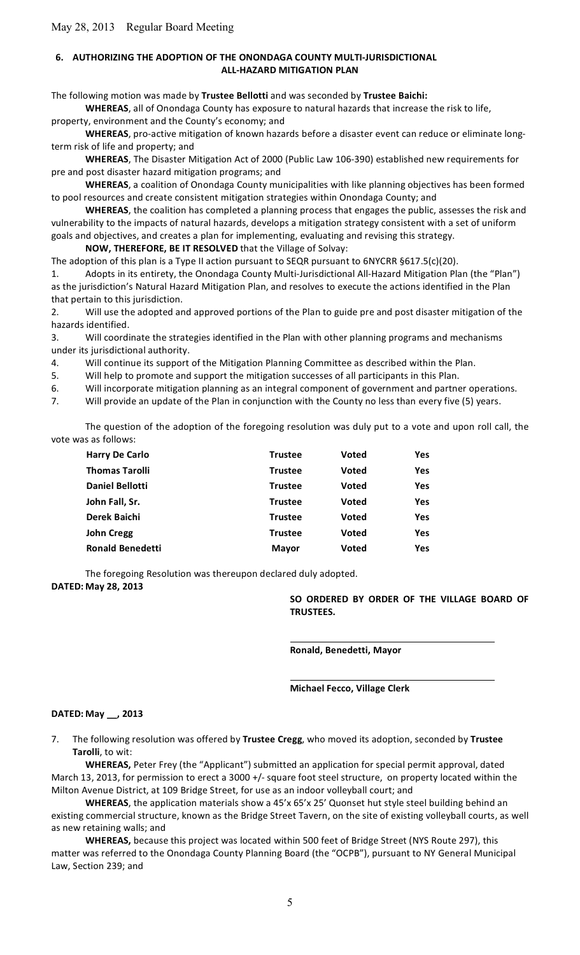## **6. AUTHORIZING THE ADOPTION OF THE ONONDAGA COUNTY MULTI-JURISDICTIONAL ALL‐HAZARD
MITIGATION
PLAN**

The
following
motion
was
made
by **Trustee
Bellotti**and
was
seconded
by **Trustee
Baichi:**

WHEREAS, all of Onondaga County has exposure to natural hazards that increase the risk to life,

property,
environment
and
the
County's
economy;
and

WHEREAS, pro-active mitigation of known hazards before a disaster event can reduce or eliminate longterm
risk
of
life
and
property;
and

WHEREAS, The Disaster Mitigation Act of 2000 (Public Law 106-390) established new requirements for pre
and
post
disaster
hazard
mitigation
programs;
and

WHEREAS, a coalition of Onondaga County municipalities with like planning objectives has been formed to pool resources and create consistent mitigation strategies within Onondaga County; and

WHEREAS, the coalition has completed a planning process that engages the public, assesses the risk and vulnerability to the impacts of natural hazards, develops a mitigation strategy consistent with a set of uniform goals and objectives, and creates a plan for implementing, evaluating and revising this strategy.

### NOW, THEREFORE, BE IT RESOLVED that the Village of Solvay:

The adoption of this plan is a Type II action pursuant to SEQR pursuant to 6NYCRR §617.5(c)(20). 1. Adopts in its entirety, the Onondaga County Multi-Jurisdictional All-Hazard Mitigation Plan (the "Plan") as the jurisdiction's Natural Hazard Mitigation Plan, and resolves to execute the actions identified in the Plan that pertain to this jurisdiction.

2. Will use the adopted and approved portions of the Plan to guide pre and post disaster mitigation of the hazards
identified.

3. Will
coordinate
the
strategies
identified
in
the
Plan
with
other
planning
programs
and
mechanisms under
its
jurisdictional
authority.

4. Will continue its support of the Mitigation Planning Committee as described within the Plan.

5. Will help to promote and support the mitigation successes of all participants in this Plan.

6. Will incorporate mitigation planning as an integral component of government and partner operations.

7. Will provide an update of the Plan in conjunction with the County no less than every five (5) years.

The question of the adoption of the foregoing resolution was duly put to a vote and upon roll call, the vote
was
as
follows:

| <b>Harry De Carlo</b>   | <b>Trustee</b> | <b>Voted</b> | Yes        |
|-------------------------|----------------|--------------|------------|
| <b>Thomas Tarolli</b>   | <b>Trustee</b> | <b>Voted</b> | <b>Yes</b> |
| <b>Daniel Bellotti</b>  | <b>Trustee</b> | <b>Voted</b> | Yes        |
| John Fall, Sr.          | <b>Trustee</b> | <b>Voted</b> | <b>Yes</b> |
| Derek Baichi            | <b>Trustee</b> | <b>Voted</b> | <b>Yes</b> |
| <b>John Cregg</b>       | <b>Trustee</b> | <b>Voted</b> | Yes        |
| <b>Ronald Benedetti</b> | <b>Mayor</b>   | <b>Voted</b> | Yes        |
|                         |                |              |            |

The
foregoing
Resolution
was
thereupon
declared
duly
adopted.

**DATED: May
28,
2013**

SO ORDERED BY ORDER OF THE VILLAGE BOARD OF **TRUSTEES.**

**Ronald,
Benedetti,
Mayor**

**Michael
Fecco,
Village
Clerk**

### **DATED: May
\_\_,
2013**

7. The
following
resolution
was
offered
by **Trustee
Cregg**,
who
moved
its
adoption,
seconded
by **Trustee Tarolli**,
to
wit:

WHEREAS, Peter Frey (the "Applicant") submitted an application for special permit approval, dated March 13, 2013, for permission to erect a 3000 +/- square foot steel structure, on property located within the Milton
Avenue
District,
at
109
Bridge
Street,
for
use
as
an
indoor
volleyball
court;
and

WHEREAS, the application materials show a 45'x 65'x 25' Quonset hut style steel building behind an existing commercial structure, known as the Bridge Street Tavern, on the site of existing volleyball courts, as well as
new
retaining
walls;
and

WHEREAS, because this project was located within 500 feet of Bridge Street (NYS Route 297), this matter was referred to the Onondaga County Planning Board (the "OCPB"), pursuant to NY General Municipal Law,
Section
239;
and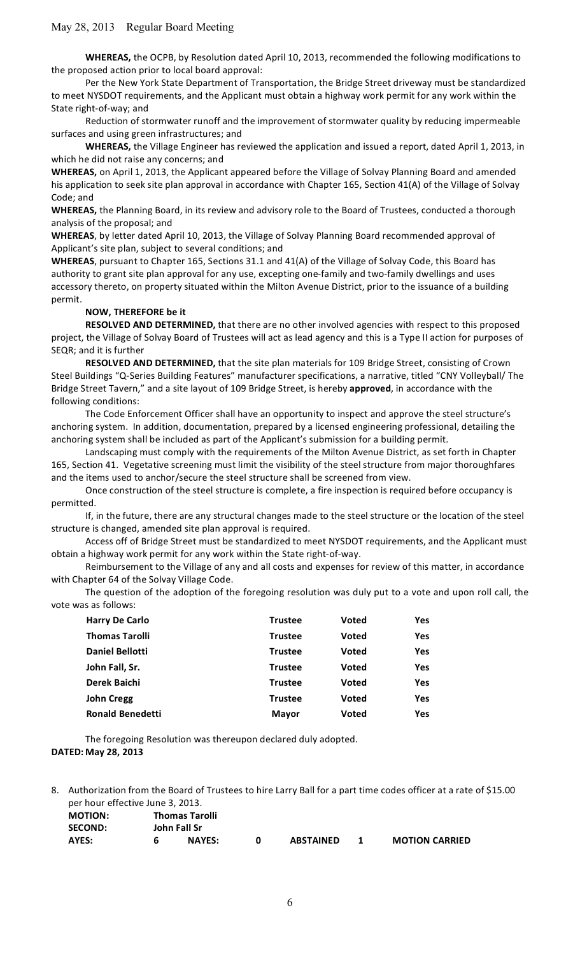WHEREAS, the OCPB, by Resolution dated April 10, 2013, recommended the following modifications to the
proposed
action
prior
to
local
board
approval:

Per the New York State Department of Transportation, the Bridge Street driveway must be standardized to meet NYSDOT requirements, and the Applicant must obtain a highway work permit for any work within the State
right‐of‐way;
and

Reduction of stormwater runoff and the improvement of stormwater quality by reducing impermeable surfaces
and
using
green
infrastructures;
and

WHEREAS, the Village Engineer has reviewed the application and issued a report, dated April 1, 2013, in which he did not raise any concerns; and

WHEREAS, on April 1, 2013, the Applicant appeared before the Village of Solvay Planning Board and amended his application to seek site plan approval in accordance with Chapter 165, Section 41(A) of the Village of Solvay Code;
and

WHEREAS, the Planning Board, in its review and advisory role to the Board of Trustees, conducted a thorough analysis
of
the
proposal;
and

WHEREAS, by letter dated April 10, 2013, the Village of Solvay Planning Board recommended approval of Applicant's
site
plan,
subject
to
several
conditions;
and

WHEREAS, pursuant to Chapter 165, Sections 31.1 and 41(A) of the Village of Solvay Code, this Board has authority to grant site plan approval for any use, excepting one-family and two-family dwellings and uses accessory thereto, on property situated within the Milton Avenue District, prior to the issuance of a building permit.

#### **NOW,
THEREFORE
be
it**

RESOLVED AND DETERMINED, that there are no other involved agencies with respect to this proposed project, the Village of Solvay Board of Trustees will act as lead agency and this is a Type II action for purposes of SEQR;
and
it
is
further

RESOLVED AND DETERMINED, that the site plan materials for 109 Bridge Street, consisting of Crown Steel Buildings "Q-Series Building Features" manufacturer specifications, a narrative, titled "CNY Volleyball/The Bridge Street Tavern," and a site layout of 109 Bridge Street, is hereby approved, in accordance with the following
conditions:

The Code Enforcement Officer shall have an opportunity to inspect and approve the steel structure's anchoring system. In addition, documentation, prepared by a licensed engineering professional, detailing the anchoring system shall be included as part of the Applicant's submission for a building permit.

Landscaping must comply with the requirements of the Milton Avenue District, as set forth in Chapter 165, Section 41. Vegetative screening must limit the visibility of the steel structure from major thoroughfares and the items used to anchor/secure the steel structure shall be screened from view.

Once construction of the steel structure is complete, a fire inspection is required before occupancy is permitted.

If, in the future, there are any structural changes made to the steel structure or the location of the steel structure
is
changed,
amended
site
plan
approval
is
required.

Access off of Bridge Street must be standardized to meet NYSDOT requirements, and the Applicant must obtain
a
highway
work
permit
for
any
work
within
the
State
right‐of‐way.

Reimbursement to the Village of any and all costs and expenses for review of this matter, in accordance with Chapter 64 of the Solvay Village Code.

The question of the adoption of the foregoing resolution was duly put to a vote and upon roll call, the vote
was
as
follows:

| <b>Harry De Carlo</b>   | <b>Trustee</b> | <b>Voted</b> | <b>Yes</b> |
|-------------------------|----------------|--------------|------------|
| <b>Thomas Tarolli</b>   | <b>Trustee</b> | <b>Voted</b> | <b>Yes</b> |
| Daniel Bellotti         | <b>Trustee</b> | <b>Voted</b> | <b>Yes</b> |
| John Fall, Sr.          | <b>Trustee</b> | <b>Voted</b> | <b>Yes</b> |
| Derek Baichi            | <b>Trustee</b> | <b>Voted</b> | <b>Yes</b> |
| <b>John Cregg</b>       | <b>Trustee</b> | <b>Voted</b> | <b>Yes</b> |
| <b>Ronald Benedetti</b> | Mayor          | <b>Voted</b> | <b>Yes</b> |

The
foregoing
Resolution
was
thereupon
declared
duly
adopted. **DATED: May
28,
2013**

8. Authorization from the Board of Trustees to hire Larry Ball for a part time codes officer at a rate of \$15.00 per
hour
effective
June
3,
2013.

| <b>MOTION:</b> |              | <b>Thomas Tarolli</b> |  |                  |  |                       |
|----------------|--------------|-----------------------|--|------------------|--|-----------------------|
| <b>SECOND:</b> | John Fall Sr |                       |  |                  |  |                       |
| AYES:          |              | <b>NAYES:</b>         |  | <b>ABSTAINED</b> |  | <b>MOTION CARRIED</b> |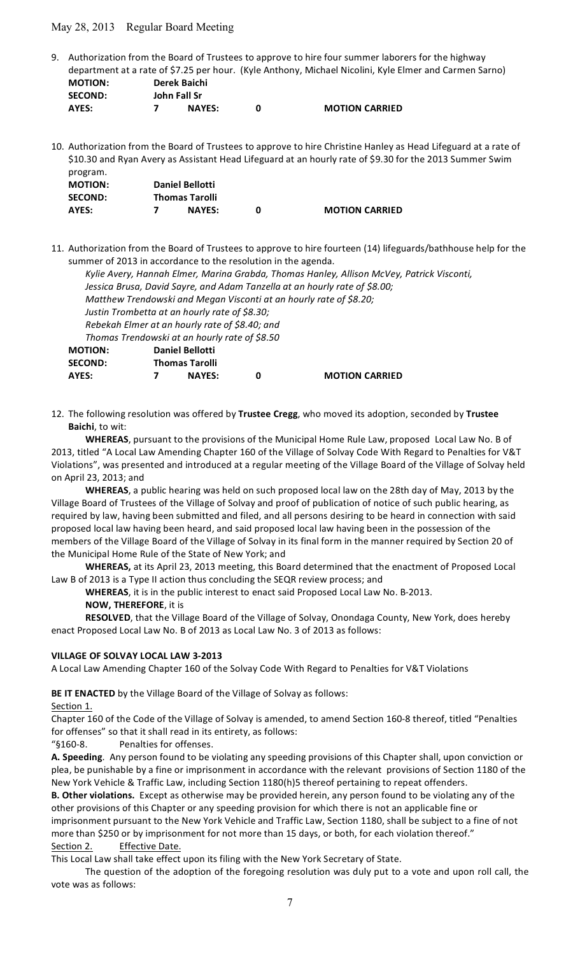9. Authorization from the Board of Trustees to approve to hire four summer laborers for the highway department at a rate of \$7.25 per hour. (Kyle Anthony, Michael Nicolini, Kyle Elmer and Carmen Sarno) **MOTION: Derek
Baichi SECOND: John
Fall
Sr**

```
AYES:

 7 NAYES: 0 MOTION
CARRIED
```
10. Authorization from the Board of Trustees to approve to hire Christine Hanley as Head Lifeguard at a rate of \$10.30 and Ryan Avery as Assistant Head Lifeguard at an hourly rate of \$9.30 for the 2013 Summer Swim program. **MOTION: Daniel
Bellotti**

| <b>INIOTION:</b> | Daniel Bellotti |                       |
|------------------|-----------------|-----------------------|
| <b>SECOND:</b>   | Thomas Tarolli  |                       |
| AYES:            | <b>NAYES:</b>   | <b>MOTION CARRIED</b> |

**AYES: 7 NAYES: 0 MOTION
CARRIED**

11. Authorization from the Board of Trustees to approve to hire fourteen (14) lifeguards/bathhouse help for the summer of 2013 in accordance to the resolution in the agenda.

| ΜΟΤΙΟΝ: | <b>Daniel Bellotti</b>                                                                    |  |
|---------|-------------------------------------------------------------------------------------------|--|
|         | Thomas Trendowski at an hourly rate of \$8.50                                             |  |
|         | Rebekah Elmer at an hourly rate of \$8.40; and                                            |  |
|         | Justin Trombetta at an hourly rate of \$8.30;                                             |  |
|         | Matthew Trendowski and Megan Visconti at an hourly rate of \$8.20;                        |  |
|         | Jessica Brusa, David Sayre, and Adam Tanzella at an hourly rate of \$8.00;                |  |
|         | Kylie Avery, Hannah Elmer, Marina Grabda, Thomas Hanley, Allison McVey, Patrick Visconti, |  |
|         |                                                                                           |  |

12. The following resolution was offered by Trustee Cregg, who moved its adoption, seconded by Trustee **Baichi**,
to
wit:

WHEREAS, pursuant to the provisions of the Municipal Home Rule Law, proposed Local Law No. B of 2013, titled "A Local Law Amending Chapter 160 of the Village of Solvay Code With Regard to Penalties for V&T Violations", was presented and introduced at a regular meeting of the Village Board of the Village of Solvay held on
April
23,
2013;
and

WHEREAS, a public hearing was held on such proposed local law on the 28th day of May, 2013 by the Village Board of Trustees of the Village of Solvay and proof of publication of notice of such public hearing, as required by law, having been submitted and filed, and all persons desiring to be heard in connection with said proposed
local
law
having
been
heard,
and
said
proposed
local
law
having
been
in
the
possession
of
the members of the Village Board of the Village of Solvay in its final form in the manner required by Section 20 of the
Municipal
Home
Rule
of
the
State
of
New
York;
and

WHEREAS, at its April 23, 2013 meeting, this Board determined that the enactment of Proposed Local Law B of 2013 is a Type II action thus concluding the SEQR review process; and

WHEREAS, it is in the public interest to enact said Proposed Local Law No. B-2013.

# **NOW,
THEREFORE**,
it
is

**SECOND: Thomas
Tarolli**

RESOLVED, that the Village Board of the Village of Solvay, Onondaga County, New York, does hereby enact Proposed Local Law No. B of 2013 as Local Law No. 3 of 2013 as follows:

#### **VILLAGE
OF
SOLVAY
LOCAL
LAW
3‐2013**

A
Local
Law
Amending
Chapter
160
of
the
Solvay
Code
With
Regard
to
Penalties
for
V&T
Violations

BE IT ENACTED by the Village Board of the Village of Solvay as follows:

Section 1.

Chapter 160 of the Code of the Village of Solvay is amended, to amend Section 160-8 thereof, titled "Penalties for offenses" so that it shall read in its entirety, as follows:

"§160‐8. Penalties
for
offenses.

A. Speeding. Any person found to be violating any speeding provisions of this Chapter shall, upon conviction or plea, be punishable by a fine or imprisonment in accordance with the relevant provisions of Section 1180 of the New York Vehicle & Traffic Law, including Section 1180(h)5 thereof pertaining to repeat offenders.

B. Other violations. Except as otherwise may be provided herein, any person found to be violating any of the other provisions of this Chapter or any speeding provision for which there is not an applicable fine or imprisonment pursuant to the New York Vehicle and Traffic Law, Section 1180, shall be subject to a fine of not more than \$250 or by imprisonment for not more than 15 days, or both, for each violation thereof."

### Section 2. Effective Date.

This Local Law shall take effect upon its filing with the New York Secretary of State.

The question of the adoption of the foregoing resolution was duly put to a vote and upon roll call, the vote
was
as
follows: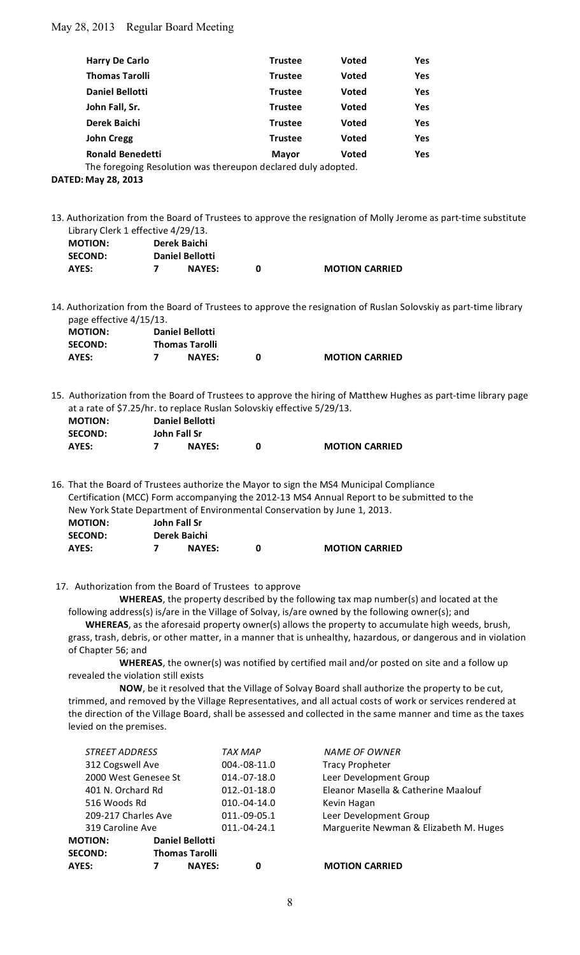| <b>Harry De Carlo</b>                                         | <b>Trustee</b> | <b>Voted</b> | Yes |  |  |
|---------------------------------------------------------------|----------------|--------------|-----|--|--|
| <b>Thomas Tarolli</b>                                         | <b>Trustee</b> | <b>Voted</b> | Yes |  |  |
| Daniel Bellotti                                               | <b>Trustee</b> | <b>Voted</b> | Yes |  |  |
| John Fall, Sr.                                                | <b>Trustee</b> | <b>Voted</b> | Yes |  |  |
| Derek Baichi                                                  | <b>Trustee</b> | <b>Voted</b> | Yes |  |  |
| <b>John Cregg</b>                                             | <b>Trustee</b> | <b>Voted</b> | Yes |  |  |
| <b>Ronald Benedetti</b>                                       | <b>Mayor</b>   | <b>Voted</b> | Yes |  |  |
| The foregoing Resolution was thereupon declared duly adopted. |                |              |     |  |  |

**DATED: May
28,
2013**

13. Authorization from the Board of Trustees to approve the resignation of Molly Jerome as part-time substitute Library
Clerk
1
effective
4/29/13.

| <b>MOTION:</b> | Derek Baichi |                        |  |                       |  |
|----------------|--------------|------------------------|--|-----------------------|--|
| <b>SECOND:</b> |              | <b>Daniel Bellotti</b> |  |                       |  |
| AYES:          |              | <b>NAYES:</b>          |  | <b>MOTION CARRIED</b> |  |

14. Authorization from the Board of Trustees to approve the resignation of Ruslan Solovskiy as part-time library page
effective
4/15/13.

| <b>MOTION:</b> | <b>Daniel Bellotti</b> |                       |  |                       |  |
|----------------|------------------------|-----------------------|--|-----------------------|--|
| <b>SECOND:</b> |                        | <b>Thomas Tarolli</b> |  |                       |  |
| AYES:          |                        | <b>NAYES:</b>         |  | <b>MOTION CARRIED</b> |  |

15.

Authorization
from
the
Board
of
Trustees
to
approve
the
hiring
of
Matthew
Hughes
as
part‐time
library
page at
a
rate
of
\$7.25/hr.
to
replace
Ruslan
Solovskiy
effective
5/29/13.

| <b>MOTION:</b> | <b>Daniel Bellotti</b> |               |  |                       |  |
|----------------|------------------------|---------------|--|-----------------------|--|
| <b>SECOND:</b> |                        | John Fall Sr  |  |                       |  |
| AYES:          |                        | <b>NAYES:</b> |  | <b>MOTION CARRIED</b> |  |

16. That the Board of Trustees authorize the Mayor to sign the MS4 Municipal Compliance Certification (MCC) Form accompanying the 2012-13 MS4 Annual Report to be submitted to the New
York
State
Department
of
Environmental
Conservation
by
June
1,
2013. **MOTION: John
Fall
Sr SECOND: Derek
Baichi AYES: 7 NAYES: 0 MOTION
CARRIED**

17. Authorization
from
the
Board
of
Trustees

to
approve

WHEREAS, the property described by the following tax map number(s) and located at the following address(s) is/are in the Village of Solvay, is/are owned by the following owner(s); and

WHEREAS, as the aforesaid property owner(s) allows the property to accumulate high weeds, brush, grass, trash, debris, or other matter, in a manner that is unhealthy, hazardous, or dangerous and in violation of
Chapter
56;
and

WHEREAS, the owner(s) was notified by certified mail and/or posted on site and a follow up revealed
the
violation
still
exists

NOW, be it resolved that the Village of Solvay Board shall authorize the property to be cut, trimmed, and removed by the Village Representatives, and all actual costs of work or services rendered at the direction of the Village Board, shall be assessed and collected in the same manner and time as the taxes levied
on
the
premises.

| AYES:                                    |  | <b>NAYES:</b>         | 0              | <b>MOTION CARRIED</b>                  |
|------------------------------------------|--|-----------------------|----------------|----------------------------------------|
| <b>SECOND:</b>                           |  | <b>Thomas Tarolli</b> |                |                                        |
| <b>Daniel Bellotti</b><br><b>MOTION:</b> |  |                       |                |                                        |
| 319 Caroline Ave                         |  |                       | $011.-04-24.1$ | Marguerite Newman & Elizabeth M. Huges |
| 209-217 Charles Ave                      |  |                       | 011.-09-05.1   | Leer Development Group                 |
| 516 Woods Rd                             |  |                       | $010.-04-14.0$ | Kevin Hagan                            |
| 401 N. Orchard Rd                        |  |                       | 012.-01-18.0   | Eleanor Masella & Catherine Maalouf    |
| 2000 West Genesee St                     |  |                       | $014.-07-18.0$ | Leer Development Group                 |
| 312 Cogswell Ave                         |  |                       | $004.-08-11.0$ | <b>Tracy Propheter</b>                 |
| <b>STREET ADDRESS</b>                    |  |                       | TAX MAP        | <b>NAME OF OWNER</b>                   |
|                                          |  |                       |                |                                        |